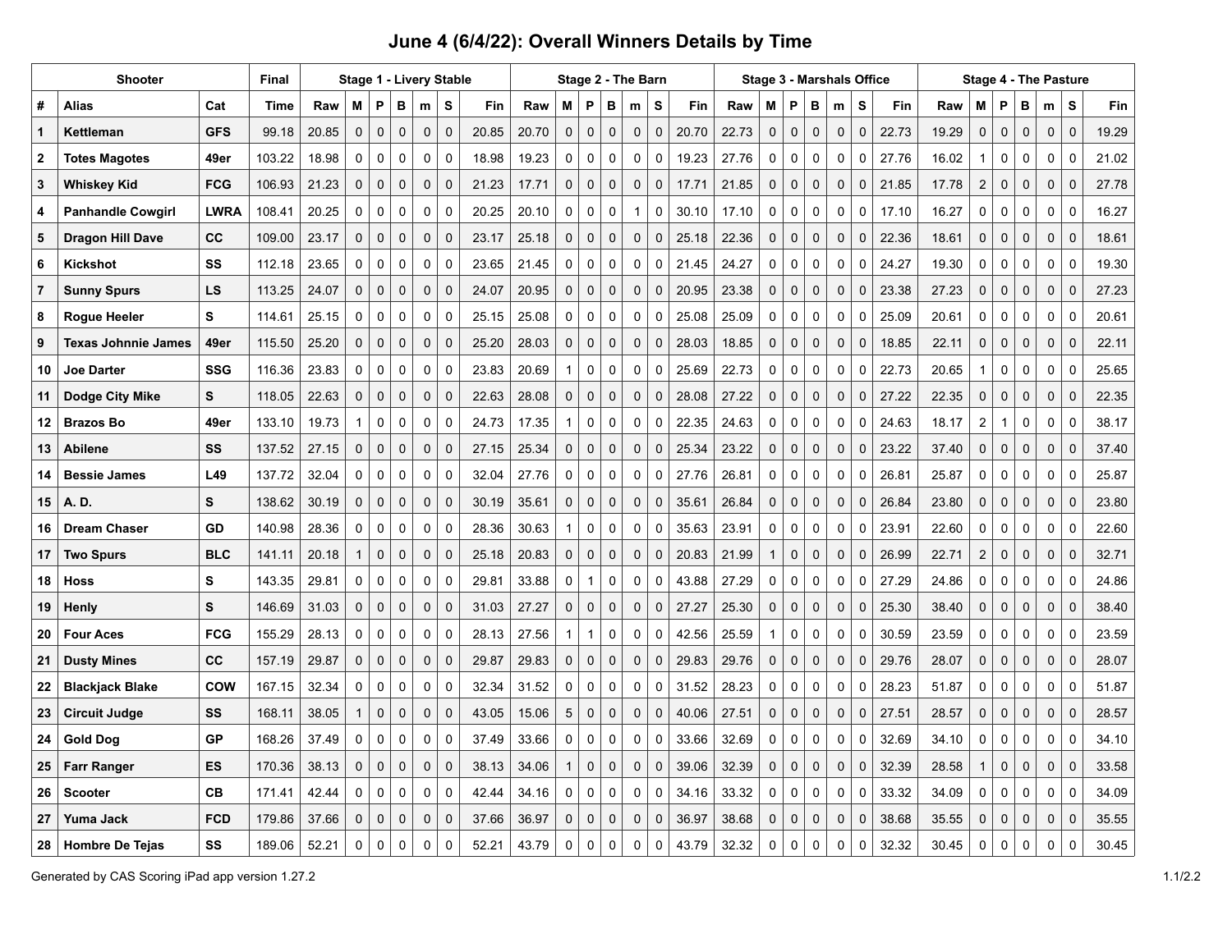| Shooter          |                            |             | <b>Final</b> | Stage 1 - Livery Stable |              |             |             |             |             |       |       |              | <b>Stage 3 - Marshals Office</b> |             |              |             |       |       |              | <b>Stage 4 - The Pasture</b> |             |             |             |       |       |                         |              |             |              |             |       |
|------------------|----------------------------|-------------|--------------|-------------------------|--------------|-------------|-------------|-------------|-------------|-------|-------|--------------|----------------------------------|-------------|--------------|-------------|-------|-------|--------------|------------------------------|-------------|-------------|-------------|-------|-------|-------------------------|--------------|-------------|--------------|-------------|-------|
| #                | <b>Alias</b>               | Cat         | <b>Time</b>  | Raw                     | М            | P           | в           | m           | s           | Fin   | Raw   | м            | P                                | в           | m            | s           | Fin   | Raw   | Μ            | P                            | в           | m           | s           | Fin   | Raw   | M                       | P            | в           | m            | S           | Fin   |
| $\mathbf{1}$     | Kettleman                  | <b>GFS</b>  | 99.18        | 20.85                   | 0            | 0           | 0           | 0           | $\mathbf 0$ | 20.85 | 20.70 | $\mathbf{0}$ | $\mathbf 0$                      | 0           | $\mathbf 0$  | $\mathbf 0$ | 20.70 | 22.73 | $\mathbf 0$  | $\mathbf 0$                  | 0           | 0           | $\mathbf 0$ | 22.73 | 19.29 | 0                       | $\mathbf 0$  | $\mathbf 0$ | $\mathbf 0$  | $\mathbf 0$ | 19.29 |
| $\boldsymbol{2}$ | <b>Totes Magotes</b>       | 49er        | 103.22       | 18.98                   | 0            | $\mathbf 0$ | 0           | 0           | $\mathbf 0$ | 18.98 | 19.23 | 0            | $\mathbf 0$                      | $\mathbf 0$ | 0            | 0           | 19.23 | 27.76 | 0            | 0                            | 0           | 0           | 0           | 27.76 | 16.02 | $\mathbf{1}$            | 0            | $\pmb{0}$   | 0            | $\mathbf 0$ | 21.02 |
| 3                | Whiskey Kid                | <b>FCG</b>  | 106.93       | 21.23                   | 0            | 0           | $\mathbf 0$ | $\mathbf 0$ | $\mathbf 0$ | 21.23 | 17.71 | $\mathbf 0$  | $\mathbf 0$                      | 0           | $\mathbf 0$  | $\mathbf 0$ | 17.71 | 21.85 | $\mathbf{0}$ | $\mathbf 0$                  | 0           | $\mathbf 0$ | $\Omega$    | 21.85 | 17.78 | $\overline{2}$          | $\mathbf 0$  | $\mathbf 0$ | $\mathbf 0$  | $\mathbf 0$ | 27.78 |
| 4                | <b>Panhandle Cowgirl</b>   | <b>LWRA</b> | 108.41       | 20.25                   | 0            | 0           | 0           | 0           | $\mathbf 0$ | 20.25 | 20.10 | 0            | $\mathbf 0$                      | $\mathbf 0$ | $\mathbf{1}$ | $\pmb{0}$   | 30.10 | 17.10 | 0            | 0                            | $\mathbf 0$ | 0           | $\mathbf 0$ | 17.10 | 16.27 | 0                       | $\mathbf 0$  | $\mathbf 0$ | $\mathbf 0$  | $\mathbf 0$ | 16.27 |
| 5                | <b>Dragon Hill Dave</b>    | СC          | 109.00       | 23.17                   | 0            | 0           | 0           | 0           | $\mathbf 0$ | 23.17 | 25.18 | $\mathbf{0}$ | $\mathbf{0}$                     | 0           | 0            | $\mathbf 0$ | 25.18 | 22.36 | 0            | 0                            | 0           | $\mathbf 0$ | $\mathbf 0$ | 22.36 | 18.61 | $\mathbf{0}$            | $\mathbf 0$  | $\mathbf 0$ | $\mathbf 0$  | $\mathbf 0$ | 18.61 |
| 6                | Kickshot                   | SS          | 112.18       | 23.65                   | 0            | $\mathbf 0$ | 0           | 0           | $\mathbf 0$ | 23.65 | 21.45 | 0            | $\mathbf 0$                      | $\mathbf 0$ | 0            | $\mathbf 0$ | 21.45 | 24.27 | 0            | 0                            | $\mathbf 0$ | 0           | $\Omega$    | 24.27 | 19.30 | 0                       | $\mathbf 0$  | $\mathbf 0$ | $\mathbf 0$  | $\mathbf 0$ | 19.30 |
| $\overline{7}$   | <b>Sunny Spurs</b>         | LS          | 113.25       | 24.07                   | 0            | 0           | 0           | $\mathbf 0$ | $\mathbf 0$ | 24.07 | 20.95 | 0            | $\mathbf 0$                      | 0           | 0            | $\mathbf 0$ | 20.95 | 23.38 | 0            | $\mathbf 0$                  | 0           | $\mathbf 0$ | $\Omega$    | 23.38 | 27.23 | 0                       | $\mathbf 0$  | $\mathbf 0$ | $\mathbf 0$  | $\mathbf 0$ | 27.23 |
| 8                | <b>Rogue Heeler</b>        | s           | 114.61       | 25.15                   | 0            | 0           | 0           | 0           | $\mathbf 0$ | 25.15 | 25.08 | 0            | $\mathbf 0$                      | $\mathbf 0$ | 0            | 0           | 25.08 | 25.09 | 0            | 0                            | 0           | 0           | $\mathbf 0$ | 25.09 | 20.61 | 0                       | $\mathbf 0$  | $\mathbf 0$ | 0            | $\mathbf 0$ | 20.61 |
| 9                | <b>Texas Johnnie James</b> | 49er        | 115.50       | 25.20                   | 0            | 0           | 0           | 0           | $\mathbf 0$ | 25.20 | 28.03 | 0            | $\mathbf 0$                      | $\mathbf 0$ | 0            | $\mathbf 0$ | 28.03 | 18.85 | 0            | $\mathbf 0$                  | 0           | 0           | $\mathbf 0$ | 18.85 | 22.11 | 0                       | $\mathbf 0$  | 0           | $\mathbf 0$  | $\mathbf 0$ | 22.11 |
| 10               | <b>Joe Darter</b>          | SSG         | 116.36       | 23.83                   | 0            | 0           | 0           | 0           | $\Omega$    | 23.83 | 20.69 | $\mathbf{1}$ | $\mathbf 0$                      | $\mathbf 0$ | 0            | $\mathbf 0$ | 25.69 | 22.73 | 0            | 0                            | 0           | 0           | $\mathbf 0$ | 22.73 | 20.65 | $\mathbf{1}$            | $\mathbf 0$  | $\mathbf 0$ | $\mathbf 0$  | $\mathbf 0$ | 25.65 |
| 11               | Dodge City Mike            | s           | 118.05       | 22.63                   | 0            | 0           | 0           | 0           | $\mathbf 0$ | 22.63 | 28.08 | 0            | $\mathbf 0$                      | 0           | 0            | $\mathbf 0$ | 28.08 | 27.22 | 0            | $\mathbf 0$                  | 0           | 0           | $\Omega$    | 27.22 | 22.35 | 0                       | $\mathbf 0$  | $\mathbf 0$ | $\mathbf 0$  | $\mathbf 0$ | 22.35 |
| 12               | <b>Brazos Bo</b>           | 49er        | 133.10       | 19.73                   | $\mathbf{1}$ | 0           | 0           | 0           | $\mathbf 0$ | 24.73 | 17.35 | $\mathbf{1}$ | $\mathbf 0$                      | $\mathbf 0$ | 0            | 0           | 22.35 | 24.63 | 0            | 0                            | 0           | 0           | $\mathbf 0$ | 24.63 | 18.17 | 2                       | $\mathbf{1}$ | 0           | 0            | $\mathbf 0$ | 38.17 |
| 13               | Abilene                    | SS          | 137.52       | 27.15                   | 0            | 0           | $\pmb{0}$   | 0           | $\Omega$    | 27.15 | 25.34 | 0            | $\mathbf 0$                      | $\mathbf 0$ | 0            | $\mathbf 0$ | 25.34 | 23.22 | 0            | $\mathbf 0$                  | 0           | $\mathbf 0$ | $\Omega$    | 23.22 | 37.40 | 0                       | $\mathbf 0$  | $\mathbf 0$ | $\mathbf 0$  | $\mathbf 0$ | 37.40 |
| 14               | <b>Bessie James</b>        | L49         | 137.72       | 32.04                   | 0            | $\mathbf 0$ | 0           | 0           | $\mathbf 0$ | 32.04 | 27.76 | 0            | $\mathbf 0$                      | $\mathbf 0$ | 0            | 0           | 27.76 | 26.81 | 0            | 0                            | 0           | 0           | $\mathbf 0$ | 26.81 | 25.87 | 0                       | $\mathbf 0$  | 0           | 0            | $\mathbf 0$ | 25.87 |
| 15               | A. D.                      | S           | 138.62       | 30.19                   | $\mathbf 0$  | 0           | $\Omega$    | $\mathbf 0$ | $\Omega$    | 30.19 | 35.61 | $\mathbf 0$  | $\mathbf 0$                      | $\mathbf 0$ | $\mathbf 0$  | $\mathbf 0$ | 35.61 | 26.84 | $\mathbf{0}$ | $\mathbf 0$                  | $\mathbf 0$ | $\Omega$    | $\Omega$    | 26.84 | 23.80 | 0                       | $\mathbf 0$  | $\mathbf 0$ | $\mathbf 0$  | $\Omega$    | 23.80 |
| 16               | <b>Dream Chaser</b>        | GD          | 140.98       | 28.36                   | 0            | 0           | 0           | 0           | $\mathbf 0$ | 28.36 | 30.63 | 1            | 0                                | 0           | 0            | 0           | 35.63 | 23.91 | 0            | $\mathbf 0$                  | 0           | 0           | 0           | 23.91 | 22.60 | 0                       | 0            | 0           | 0            | $\mathbf 0$ | 22.60 |
| 17               | <b>Two Spurs</b>           | <b>BLC</b>  | 141.11       | 20.18                   | $\mathbf{1}$ | 0           | $\mathbf 0$ | $\mathbf 0$ | $\Omega$    | 25.18 | 20.83 | $\mathbf 0$  | $\mathbf 0$                      | $\mathbf 0$ | $\mathbf 0$  | $\mathbf 0$ | 20.83 | 21.99 | $\mathbf{1}$ | $\mathbf 0$                  | $\mathbf 0$ | $\mathbf 0$ | $\Omega$    | 26.99 | 22.71 | $\overline{\mathbf{c}}$ | $\mathbf 0$  | $\mathbf 0$ | $\mathbf 0$  | $\mathbf 0$ | 32.71 |
| 18               | Hoss                       | s           | 143.35       | 29.81                   | 0            | $\mathbf 0$ | 0           | 0           | $\mathbf 0$ | 29.81 | 33.88 | 0            | $\mathbf{1}$                     | 0           | 0            | 0           | 43.88 | 27.29 | 0            | 0                            | $\mathbf 0$ | 0           | 0           | 27.29 | 24.86 | 0                       | 0            | 0           | 0            | $\mathbf 0$ | 24.86 |
| 19               | Henly                      | S           | 146.69       | 31.03                   | $\mathbf 0$  | $\Omega$    | $\mathbf 0$ | $\mathbf 0$ | $\Omega$    | 31.03 | 27.27 | $\mathbf 0$  | $\mathbf 0$                      | $\mathbf 0$ | $\mathbf 0$  | $\mathbf 0$ | 27.27 | 25.30 | 0            | $\mathbf 0$                  | $\mathbf 0$ | $\mathbf 0$ | $\Omega$    | 25.30 | 38.40 | 0                       | $\mathbf 0$  | $\mathbf 0$ | $\mathbf 0$  | $\mathbf 0$ | 38.40 |
| 20               | <b>Four Aces</b>           | <b>FCG</b>  | 155.29       | 28.13                   | 0            | 0           | 0           | 0           | $\mathbf 0$ | 28.13 | 27.56 | 1            | $\mathbf{1}$                     | 0           | 0            | 0           | 42.56 | 25.59 | 1            | 0                            | 0           | 0           | 0           | 30.59 | 23.59 | 0                       | 0            | 0           | 0            | $\mathbf 0$ | 23.59 |
| 21               | <b>Dusty Mines</b>         | СC          | 157.19       | 29.87                   | $\mathbf 0$  | 0           | $\mathbf 0$ | $\mathbf 0$ | $\mathbf 0$ | 29.87 | 29.83 | $\mathbf 0$  | $\mathbf 0$                      | $\mathbf 0$ | $\mathbf 0$  | $\mathbf 0$ | 29.83 | 29.76 | $\mathbf 0$  | $\mathbf 0$                  | $\mathbf 0$ | $\mathbf 0$ | $\Omega$    | 29.76 | 28.07 | 0                       | $\mathbf 0$  | $\mathbf 0$ | $\mathbf 0$  | $\mathbf 0$ | 28.07 |
| 22               | <b>Blackjack Blake</b>     | COW         | 167.15       | 32.34                   | 0            | 0           | $\Omega$    | 0           | $\Omega$    | 32.34 | 31.52 | 0            | $\mathbf 0$                      | 0           | 0            | 0           | 31.52 | 28.23 | 0            | $\Omega$                     | $\pmb{0}$   | 0           | $\Omega$    | 28.23 | 51.87 | 0                       | 0            | 0           | 0            | $\mathbf 0$ | 51.87 |
| 23               | <b>Circuit Judge</b>       | SS          | 168.11       | 38.05                   | $\mathbf{1}$ | 0           | $\mathbf 0$ | $\mathbf 0$ | $\Omega$    | 43.05 | 15.06 | 5            | $\mathbf 0$                      | $\mathbf 0$ | $\Omega$     | $\mathbf 0$ | 40.06 | 27.51 | 0            | $\mathbf 0$                  | $\mathbf 0$ | $\mathbf 0$ | $\Omega$    | 27.51 | 28.57 | 0                       | $\mathbf 0$  | $\mathbf 0$ | $\mathbf 0$  | $\mathbf 0$ | 28.57 |
| 24               | <b>Gold Dog</b>            | GP          | 168.26       | 37.49                   | 0            | $\Omega$    | $\Omega$    | 0           | $\mathbf 0$ | 37.49 | 33.66 | $\Omega$     | 0                                | 0           | 0            | 0           | 33.66 | 32.69 | 0            | $\pmb{0}$                    | 0           | 0           | $\mathbf 0$ | 32.69 | 34.10 | 0                       | 0            | 0           | 0            | $\mathbf 0$ | 34.10 |
| 25               | <b>Farr Ranger</b>         | ES          | 170.36       | 38.13                   | 0            | 0           | $\mathbf 0$ | 0           | $\mathbf 0$ | 38.13 | 34.06 | 1            | $\mathbf 0$                      | 0           | $\Omega$     | $\mathbf 0$ | 39.06 | 32.39 | 0            | $\mathbf 0$                  | $\mathbf 0$ | 0           | $\mathbf 0$ | 32.39 | 28.58 | $\mathbf{1}$            | $\mathbf 0$  | $\mathbf 0$ | $\mathbf 0$  | $\mathbf 0$ | 33.58 |
| 26               | <b>Scooter</b>             | <b>CB</b>   | 171.41       | 42.44                   | 0            | $\mathbf 0$ | $\Omega$    | 0           | $\mathbf 0$ | 42.44 | 34.16 | 0            | $\mathbf 0$                      | $\mathbf 0$ | 0            | $\mathbf 0$ | 34.16 | 33.32 | 0            | 0                            | 0           | 0           | $\mathbf 0$ | 33.32 | 34.09 | 0                       | $\mathbf 0$  | 0           | $\mathbf 0$  | $\Omega$    | 34.09 |
| 27               | Yuma Jack                  | <b>FCD</b>  | 179.86       | 37.66                   | $\mathbf 0$  | 0           | $\mathbf 0$ | $\mathbf 0$ | $\mathbf 0$ | 37.66 | 36.97 | $\mathbf 0$  | $\mathbf 0$                      | 0           | 0            | $\mathbf 0$ | 36.97 | 38.68 | 0            | $\mathbf 0$                  | $\mathbf 0$ | $\mathbf 0$ | $\Omega$    | 38.68 | 35.55 | 0                       | $\mathbf 0$  | 0           | $\mathbf{0}$ | $\mathbf 0$ | 35.55 |
| 28               | <b>Hombre De Tejas</b>     | SS          | 189.06       | 52.21                   | $\mathbf 0$  | $\Omega$    | $\Omega$    | $\Omega$    | $\Omega$    | 52.21 | 43.79 | $\Omega$     | 0                                | 0           | $\Omega$     | 0           | 43.79 | 32.32 | $\Omega$     | $\Omega$                     | $\Omega$    | $\Omega$    | $\Omega$    | 32.32 | 30.45 | $\Omega$                | 0            | $\mathbf 0$ | $\Omega$     | $\Omega$    | 30.45 |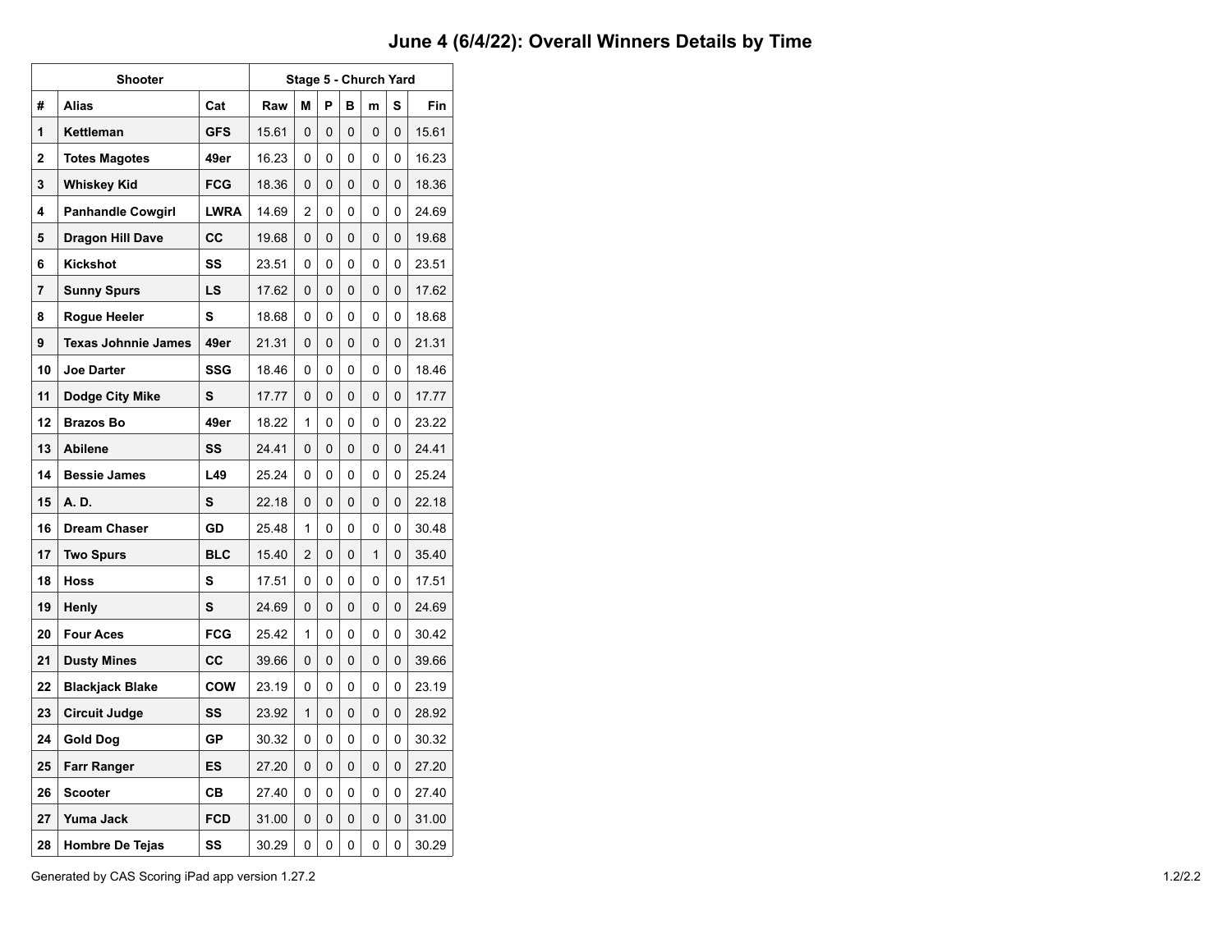|    | Shooter                    |             |       |                |   |   | Stage 5 - Church Yard |   |       |  |  |  |  |  |
|----|----------------------------|-------------|-------|----------------|---|---|-----------------------|---|-------|--|--|--|--|--|
| #  | <b>Alias</b>               | Cat         | Raw   | М              | P | в | m                     | S | Fin   |  |  |  |  |  |
| 1  | Kettleman                  | <b>GFS</b>  | 15.61 | $\Omega$       | 0 | 0 | 0                     | 0 | 15.61 |  |  |  |  |  |
| 2  | <b>Totes Magotes</b>       | 49er        | 16.23 | 0              | 0 | 0 | 0                     | 0 | 16.23 |  |  |  |  |  |
| 3  | <b>Whiskey Kid</b>         | <b>FCG</b>  | 18.36 | 0              | 0 | 0 | 0                     | 0 | 18.36 |  |  |  |  |  |
| 4  | <b>Panhandle Cowgirl</b>   | <b>LWRA</b> | 14.69 | 2              | 0 | 0 | 0                     | 0 | 24.69 |  |  |  |  |  |
| 5  | <b>Dragon Hill Dave</b>    | CС          | 19.68 | 0              | 0 | 0 | 0                     | 0 | 19.68 |  |  |  |  |  |
| 6  | Kickshot                   | SS          | 23.51 | 0              | 0 | 0 | 0                     | 0 | 23.51 |  |  |  |  |  |
| 7  | Sunny Spurs                | LS          | 17.62 | 0              | 0 | 0 | 0                     | 0 | 17.62 |  |  |  |  |  |
| 8  | Rogue Heeler               | s           | 18.68 | 0              | 0 | 0 | 0                     | 0 | 18.68 |  |  |  |  |  |
| 9  | <b>Texas Johnnie James</b> | 49er        | 21.31 | 0              | 0 | 0 | 0                     | 0 | 21.31 |  |  |  |  |  |
| 10 | <b>Joe Darter</b>          | <b>SSG</b>  | 18.46 | 0              | 0 | 0 | 0                     | 0 | 18.46 |  |  |  |  |  |
| 11 | Dodge City Mike            | S           | 17.77 | 0              | 0 | 0 | 0                     | 0 | 17.77 |  |  |  |  |  |
| 12 | <b>Brazos Bo</b>           | 49er        | 18.22 | 1              | 0 | 0 | 0                     | 0 | 23.22 |  |  |  |  |  |
| 13 | <b>Abilene</b>             | SS          | 24.41 | 0              | 0 | 0 | 0                     | 0 | 24.41 |  |  |  |  |  |
| 14 | <b>Bessie James</b>        | L49         | 25.24 | 0              | 0 | 0 | 0                     | 0 | 25.24 |  |  |  |  |  |
| 15 | A. D.                      | S           | 22.18 | 0              | 0 | 0 | 0                     | 0 | 22.18 |  |  |  |  |  |
| 16 | <b>Dream Chaser</b>        | GD          | 25.48 | 1              | 0 | 0 | 0                     | 0 | 30.48 |  |  |  |  |  |
| 17 | <b>Two Spurs</b>           | <b>BLC</b>  | 15.40 | $\overline{c}$ | 0 | 0 | 1                     | 0 | 35.40 |  |  |  |  |  |
| 18 | <b>Hoss</b>                | s           | 17.51 | 0              | 0 | 0 | 0                     | 0 | 17.51 |  |  |  |  |  |
| 19 | Henly                      | S           | 24.69 | 0              | 0 | 0 | 0                     | 0 | 24.69 |  |  |  |  |  |
| 20 | <b>Four Aces</b>           | <b>FCG</b>  | 25.42 | 1              | 0 | 0 | 0                     | 0 | 30.42 |  |  |  |  |  |
| 21 | <b>Dusty Mines</b>         | CC          | 39.66 | 0              | 0 | 0 | 0                     | 0 | 39.66 |  |  |  |  |  |
| 22 | <b>Blackjack Blake</b>     | COW         | 23.19 | 0              | 0 | 0 | 0                     | 0 | 23.19 |  |  |  |  |  |
| 23 | <b>Circuit Judge</b>       | SS          | 23.92 | 1              | 0 | 0 | 0                     | 0 | 28.92 |  |  |  |  |  |
| 24 | <b>Gold Dog</b>            | GP          | 30.32 | 0              | 0 | 0 | 0                     | 0 | 30.32 |  |  |  |  |  |
| 25 | <b>Farr Ranger</b>         | ES          | 27.20 | 0              | 0 | 0 | 0                     | 0 | 27.20 |  |  |  |  |  |
| 26 | Scooter                    | CВ          | 27.40 | 0              | 0 | 0 | 0                     | 0 | 27.40 |  |  |  |  |  |
| 27 | Yuma Jack                  | <b>FCD</b>  | 31.00 | 0              | 0 | 0 | 0                     | 0 | 31.00 |  |  |  |  |  |
| 28 | <b>Hombre De Tejas</b>     | SS          | 30.29 | 0              | 0 | 0 | 0                     | 0 | 30.29 |  |  |  |  |  |

Generated by CAS Scoring iPad app version 1.27.2 1.2/2.2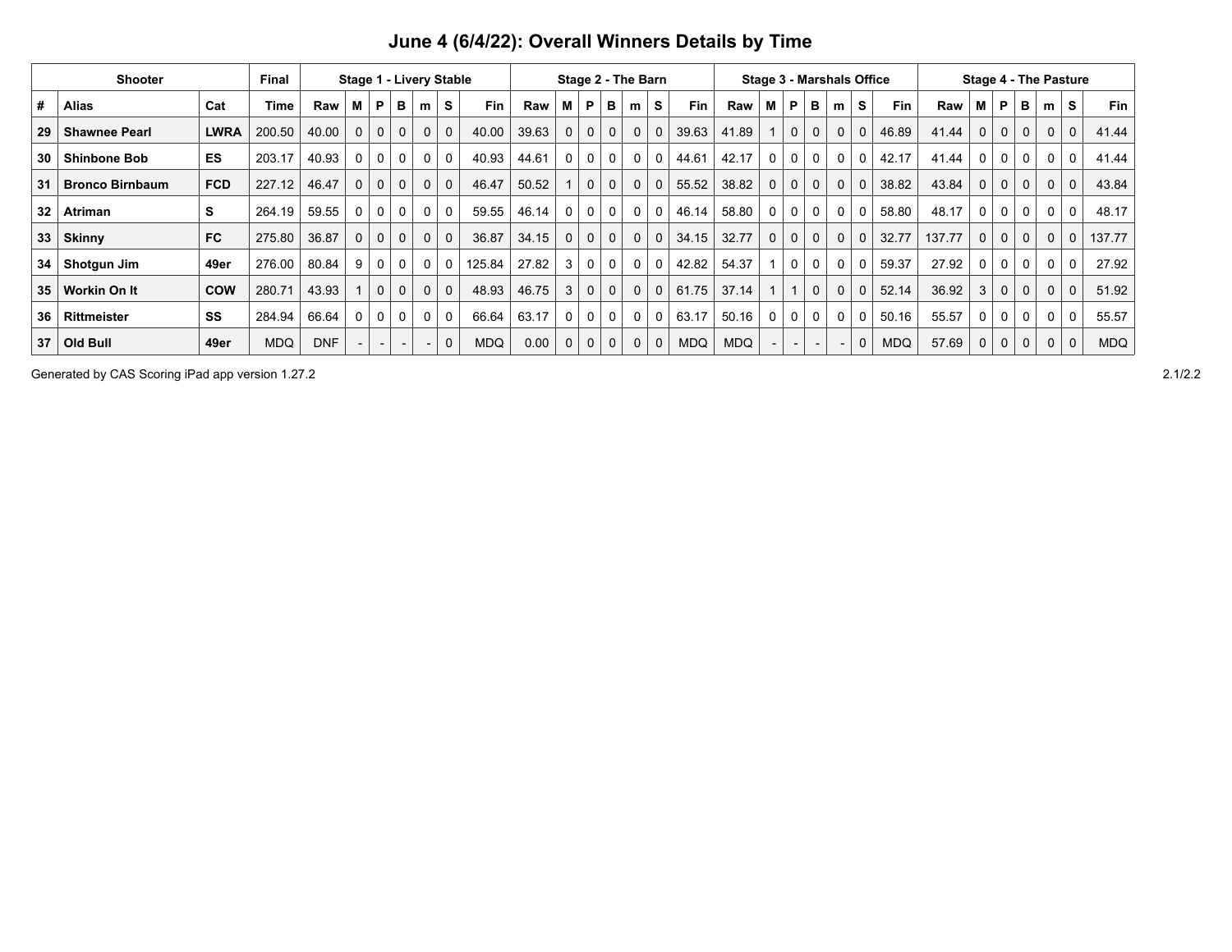|                 | <b>Shooter</b>         |             | <b>Final</b> | Stage 1 - Livery Stable |              |              |              |   | Stage 2 - The Barn |            |       |             |              |             |              | <b>Stage 3 - Marshals Office</b> |            | <b>Stage 4 - The Pasture</b> |             |          |                          |              |              |            |        |          |              |          |              |              |            |
|-----------------|------------------------|-------------|--------------|-------------------------|--------------|--------------|--------------|---|--------------------|------------|-------|-------------|--------------|-------------|--------------|----------------------------------|------------|------------------------------|-------------|----------|--------------------------|--------------|--------------|------------|--------|----------|--------------|----------|--------------|--------------|------------|
| #               | <b>Alias</b>           | Cat         | Time         | Raw                     | м            | P            | в            | m | S                  | Fin        | Raw   | м           | P            | в           | m            | S                                | Fin        | Raw                          | м           | P        | в                        | m            | s            | Fin        | Raw    | М        | P            | в        | m            | S            | <b>Fin</b> |
| 29              | <b>Shawnee Pearl</b>   | <b>LWRA</b> | 200.50       | 40.00                   | $\mathbf 0$  | 0            | $\mathbf{0}$ | 0 | $\mathbf 0$        | 40.00      | 39.63 | $\mathbf 0$ | $\mathbf{0}$ | $\mathbf 0$ | $\mathbf 0$  | 0                                | 39.63      | 41.89                        |             | 0        | $\mathbf 0$              | $\mathbf{0}$ | $\mathbf 0$  | 46.89      | 41.44  | $\Omega$ | $\mathbf 0$  | 0        | $\mathbf{0}$ | $\mathbf 0$  | 41.44      |
| 30              | <b>Shinbone Bob</b>    | <b>ES</b>   | 203.17       | 40.93                   |              | 0            | 0            | 0 | $\overline{0}$     | 40.93      | 44.61 | 0           | 0            | 0           | $\mathbf{0}$ |                                  | 44.61      | 42.17                        | 0           | 0        | $\mathbf{0}$             | 0            | $\Omega$     | 42.17      | 41.44  | $\Omega$ | $\mathbf{0}$ | 0        | $\mathbf{0}$ | $\Omega$     | 41.44      |
| 31              | <b>Bronco Birnbaum</b> | <b>FCD</b>  | 227.12       | 46.47                   | $\Omega$     | 0            | $\mathbf{0}$ | 0 | $\overline{0}$     | 46.47      | 50.52 |             | $\mathbf{0}$ | $\mathbf 0$ | $\mathbf 0$  | 0                                | 55.52      | 38.82                        | $\mathbf 0$ | $\Omega$ | $\mathbf 0$              | $\mathbf{0}$ | $\mathbf 0$  | 38.82      | 43.84  | $\Omega$ | $\Omega$     | 0        | $\mathbf{0}$ | $\mathbf 0$  | 43.84      |
| 32              | <b>Atriman</b>         | s           | 264.19       | 59.55                   | $\mathbf{0}$ | 0            | $\mathbf{0}$ | 0 | $\mathbf 0$        | 59.55      | 46.14 | 0           | 0            | 0           | $\mathbf 0$  | 0                                | 46.14      | 58.80                        | 0           | $\Omega$ | $\mathbf{0}$             | 0            | 0            | 58.80      | 48.17  | $\Omega$ | $\mathbf{0}$ | 0        | $\Omega$     | $\mathbf{0}$ | 48.17      |
| 33              | <b>Skinny</b>          | <b>FC</b>   | 275.80       | 36.87                   | $\mathbf 0$  | 0            | $\mathbf{0}$ | 0 | $\overline{0}$     | 36.87      | 34.15 | 0           | 0            | $\mathbf 0$ | $\mathbf{0}$ | 0                                | 34.15      | 32.77                        | $\mathbf 0$ | $\Omega$ | $\mathbf 0$              | 0            | $\mathbf 0$  | 32.77      | 137.77 | $\Omega$ | $\mathbf 0$  | 0        | $\mathbf 0$  | 0            | 137.77     |
| 34              | Shotgun Jim            | 49er        | 276.00       | 80.84                   | 9            | 0            | 0            | 0 | $\mathbf 0$        | 125.84     | 27.82 | 3           | 0            | 0           | $\mathbf 0$  | 0                                | 42.82      | 54.37                        |             | $\Omega$ | $\mathbf{0}$             | 0            | 0            | 59.37      | 27.92  | $\Omega$ | $\mathbf{0}$ | 0        | $\mathbf{0}$ | $\Omega$     | 27.92      |
| 35 <sub>5</sub> | Workin On It           | <b>COW</b>  | 280.71       | 43.93                   |              | 0            | $\mathbf 0$  | 0 | $\mathbf 0$        | 48.93      | 46.75 | 3           | $\mathbf{0}$ | $\mathbf 0$ | $\Omega$     | $\Omega$                         | 61.75      | 37.14                        |             |          | $\mathbf 0$              | $\mathbf 0$  | $\mathbf{0}$ | 52.14      | 36.92  | 3        | $\Omega$     | $\Omega$ | $\Omega$     | $\Omega$     | 51.92      |
| 36              | Rittmeister            | SS          | 284.94       | 66.64                   | $\Omega$     | $\mathbf{0}$ | $\mathbf{0}$ | 0 | $\overline{0}$     | 66.64      | 63.17 | 0           | 0            | 0           | $\mathbf 0$  | 0                                | 63.17      | 50.16                        | 0           | $\Omega$ | 0                        | 0            | 0            | 50.16      | 55.57  | 0        | 0            | 0        | $\mathbf{0}$ | $\mathbf{0}$ | 55.57      |
| 37              | Old Bull               | 49er        | <b>MDQ</b>   | <b>DNF</b>              |              |              |              |   | $\mathbf 0$        | <b>MDQ</b> | 0.00  | $\mathbf 0$ | $\mathbf{0}$ | $\mathbf 0$ | $\Omega$     | $\Omega$                         | <b>MDQ</b> | <b>MDQ</b>                   |             |          | $\overline{\phantom{0}}$ |              | $\mathbf 0$  | <b>MDQ</b> | 57.69  | $\Omega$ | 0            | 0        | $\Omega$     | $\mathbf 0$  | <b>MDQ</b> |

Generated by CAS Scoring iPad app version 1.27.2 2.1/2.2